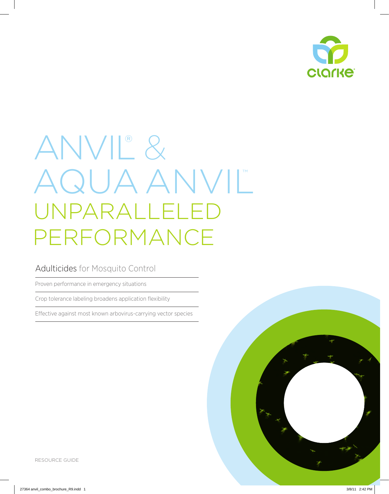

# Anvil® & AQUA ANVIL unparalleled performance

### Adulticides for Mosquito Control

Proven performance in emergency situations

Crop tolerance labeling broadens application flexibility

Effective against most known arbovirus-carrying vector species

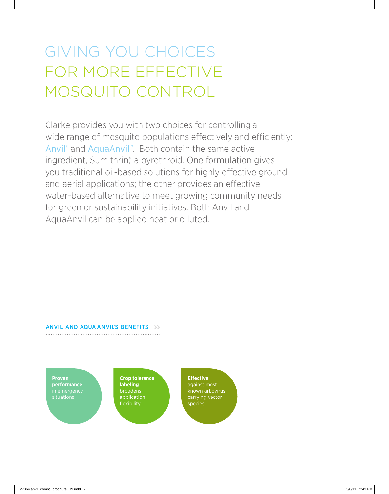# giving you choices FOR MORE EFFECTIVE MOSQUITO CONTROL

Clarke provides you with two choices for controlling a wide range of mosquito populations effectively and efficiently: Anvil® and AquaAnvil™. Both contain the same active ingredient, Sumithrin<sup>®</sup>, a pyrethroid. One formulation gives you traditional oil-based solutions for highly effective ground and aerial applications; the other provides an effective water-based alternative to meet growing community needs for green or sustainability initiatives. Both Anvil and AquaAnvil can be applied neat or diluted.

#### anviL AND aqua anvil's benefits

**Proven performance**  in emergency situations

**Crop tolerance labeling**  broadens application flexibility

**Effective**  against most known arboviruscarrying vector species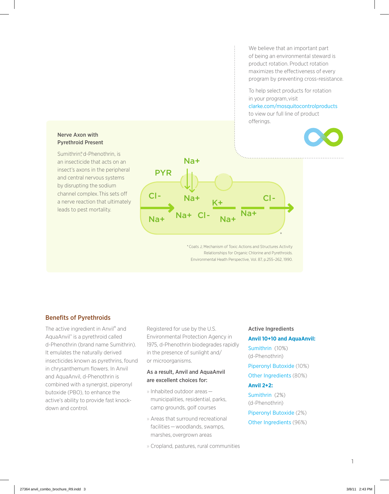We believe that an important part of being an environmental steward is product rotation. Product rotation maximizes the effectiveness of every program by preventing cross-resistance.

To help select products for rotation in your program, visit clarke.com/mosquitocontrolproducts

to view our full line of product offerings.



#### Nerve Axon with Pyrethroid Present

Sumithrin® d-Phenothrin, is an insecticide that acts on an insect's axons in the peripheral and central nervous systems by disrupting the sodium channel complex. This sets off a nerve reaction that ultimately leads to pest mortality.



\* Coats J; Mechanism of Toxic Actions and Structures Activity Relationships for Organic Chlorine and Pyrethroids. Environmental Heath Perspective, Vol. 87, p.255–262, 1990.

#### Benefits of Pyrethroids

The active ingredient in Anvil® and AquaAnvil™ is a pyrethroid called d-Phenothrin (brand name Sumithrin). It emulates the naturally derived insecticides known as pyrethrins, found in chrysanthemum flowers. In Anvil and AquaAnvil, d-Phenothrin is combined with a synergist, piperonyl butoxide (PBO), to enhance the active's ability to provide fast knockdown and control.

Registered for use by the U.S. Environmental Protection Agency in 1975, d-Phenothrin biodegrades rapidly in the presence of sunlight and/ or microorganisms.

#### As a result, Anvil and AquaAnvil are excellent choices for:

- » Inhabited outdoor areas municipalities, residential, parks, camp grounds, golf courses
- » Areas that surround recreational facilities — woodlands, swamps, marshes, overgrown areas

» Cropland, pastures, rural communities

#### Active Ingredients

#### **Anvil 10+10 and AquaAnvil:**

Sumithrin (10%) (d-Phenothrin)

- Piperonyl Butoxide (10%)
- Other Ingredients (80%)

#### **Anvil 2+2:**

Sumithrin (2%) (d-Phenothrin)

Piperonyl Butoxide (2%) Other Ingredients (96%)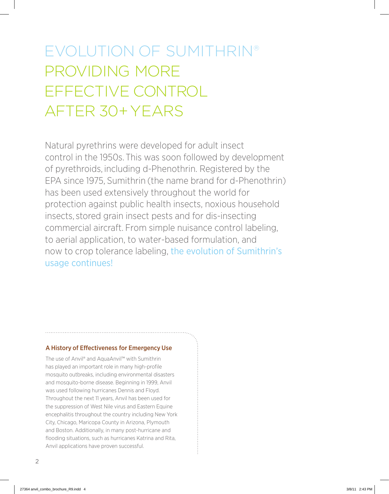## EVOLUTION OF SUMITHRIN® PROVIDING MORE FFFFCTIVE CONTROL AFTER 30+ YEARS

Natural pyrethrins were developed for adult insect control in the 1950s. This was soon followed by development of pyrethroids, including d-Phenothrin. Registered by the EPA since 1975, Sumithrin (the name brand for d-Phenothrin) has been used extensively throughout the world for protection against public health insects, noxious household insects, stored grain insect pests and for dis-insecting commercial aircraft. From simple nuisance control labeling, to aerial application, to water-based formulation, and now to crop tolerance labeling, the evolution of Sumithrin's usage continues!

#### A History of Effectiveness for Emergency Use

The use of Anvil® and AquaAnvil™ with Sumithrin has played an important role in many high-profile mosquito outbreaks, including environmental disasters and mosquito-borne disease. Beginning in 1999, Anvil was used following hurricanes Dennis and Floyd. Throughout the next 11 years, Anvil has been used for the suppression of West Nile virus and Eastern Equine encephalitis throughout the country including New York City, Chicago, Maricopa County in Arizona, Plymouth and Boston. Additionally, in many post-hurricane and flooding situations, such as hurricanes Katrina and Rita, Anvil applications have proven successful.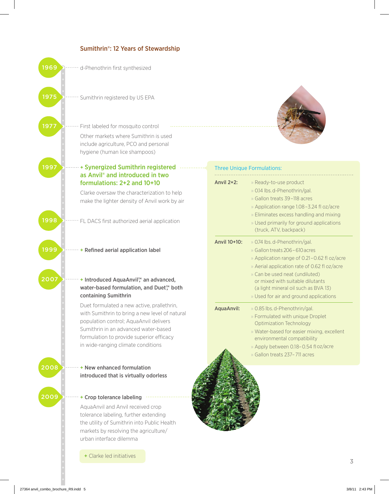

+ Clarke led initiatives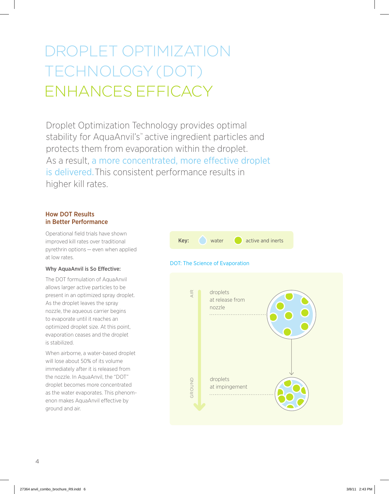## DROPLET OPTIMIZATION TECHNOLOGY (DOT) ENHANCES EFFICACY

Droplet Optimization Technology provides optimal stability for AquaAnvil's™ active ingredient particles and protects them from evaporation within the droplet. As a result, a more concentrated, more effective droplet is delivered. This consistent performance results in higher kill rates.

#### How DOT Results in Better Performance

Operational field trials have shown improved kill rates over traditional pyrethrin options — even when applied at low rates.

#### Why AquaAnvil is So Effective:

The DOT formulation of AquaAnvil allows larger active particles to be present in an optimized spray droplet. As the droplet leaves the spray nozzle, the aqueous carrier begins to evaporate until it reaches an optimized droplet size. At this point, evaporation ceases and the droplet is stabilized.

When airborne, a water-based droplet will lose about 50% of its volume immediately after it is released from the nozzle. In AquaAnvil, the "DOT" droplet becomes more concentrated as the water evaporates. This phenomenon makes AquaAnvil effective by ground and air.



#### DOT: The Science of Evaporation

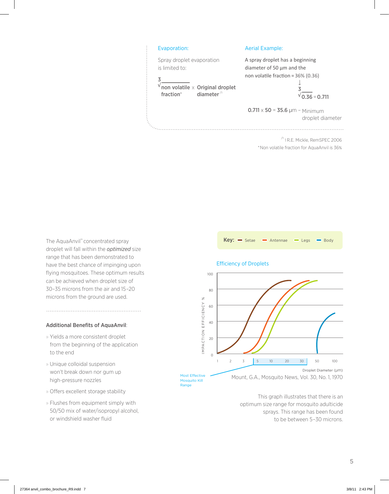

/1 1 R.E. Mickle, RemSPEC 2006 \*Non volatile fraction for AquaAnvil is 36%

The AquaAnvil™ concentrated spray droplet will fall within the *optimized* size range that has been demonstrated to have the best chance of impinging upon flying mosquitoes. These optimum results can be achieved when droplet size of 30–35 microns from the air and 15–20 microns from the ground are used.

#### Additional Benefits of AquaAnvil:

- » Yields a more consistent droplet from the beginning of the application to the end
- » Unique colloidal suspension won't break down nor gum up high-pressure nozzles
- » Offers excellent storage stability
- » Flushes from equipment simply with 50/50 mix of water/isopropyl alcohol, or windshield washer fluid





This graph illustrates that there is an optimum size range for mosquito adulticide sprays. This range has been found to be between 5–30 microns.

#### Efficiency of Droplets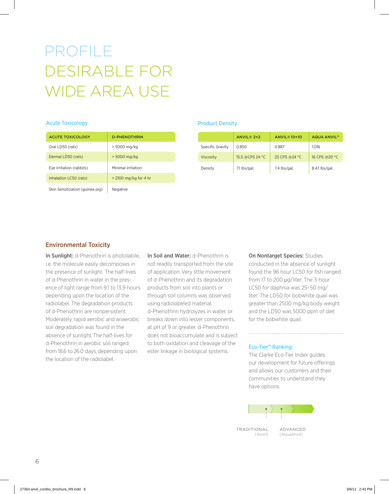### profile desirable for wide area use

#### Acute Toxicology

| <b>ACUTE TOXICOLOGY</b>         | <b>D-PHENOTHRIN</b>   |
|---------------------------------|-----------------------|
| Oral LD50 (rats)                | > 5000 mg/kg          |
| Dermal LD50 (rats)              | > 5000 mg/kg          |
| Eye Irritation (rabbits)        | Minimal irritation    |
| Inhalation LC50 (rats)          | > 2100 mg/kg for 4 hr |
| Skin Sensitization (guinea pig) | Negative              |

#### Product Density

|                         | <b>ANVIL® 2+2</b> | <b>ANVIL®10+10</b> | <b>AQUA ANVIL™</b> |
|-------------------------|-------------------|--------------------|--------------------|
| <b>Specific Gravity</b> | 0.850             | 0.887              | 1.016              |
| <b>Viscosity</b>        | 15.5 @CPS 24 °C   | 25 CPS @24 °C      | 16 CPS @20 °C      |
| Density                 | $7.1$ lbs/gal.    | 7.4 lbs/gal.       | 8.47 lbs/gal.      |

#### Environmental Toxicity

In Sunlight: d-Phenothrin is photolabile, i.e. the molecule easily decomposes in the presence of sunlight. The half-lives of d-Phenothrin in water in the presence of light range from 9.1 to 13.9 hours depending upon the location of the radiolabel. The degradation products of d-Phenothrin are nonpersistent. Moderately rapid aerobic and anaerobic soil degradation was found in the absence of sunlight. The half-lives for d-Phenothrin in aerobic soil ranged from 18.6 to 26.0 days, depending upon the location of the radiolabel.

In Soil and Water: d-Phenothrin is not readily transported from the site of application. Very little movement of d-Phenothrin and its degradation products from soil into plants or through soil columns was observed using radiolabeled material. d-Phenothrin hydrolyzes in water, or breaks down into lesser components, at pH of 9 or greater. d-Phenothrin does not bioaccumulate and is subject to both oxidation and cleavage of the ester linkage in biological systems.

On Nontarget Species: Studies conducted in the absence of sunlight found the 96 hour LC50 for fish ranged from 17 to 200 μg/liter. The 3-hour LC50 for daphnia was 25–50 mg/ liter. The LD50 for bobwhite quail was greater than 2500 mg/kg body weight and the LD50 was 5000 ppm of diet for the bobwhite quail.

#### Eco-Tier™ Ranking:

The Clarke Eco-Tier Index guides our development for future offerings and allows our customers and their communities to understand they have options.



(Anvil)

(AquaAnvil)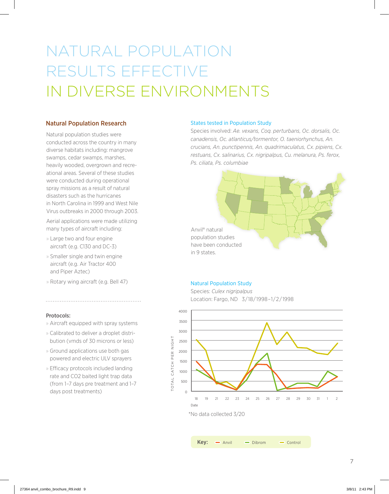## natural population results effective in diverse environments

#### Natural Population Research

Natural population studies were conducted across the country in many diverse habitats including: mangrove swamps, cedar swamps, marshes, heavily wooded, overgrown and recreational areas. Several of these studies were conducted during operational spray missions as a result of natural disasters such as the hurricanes in North Carolina in 1999 and West Nile Virus outbreaks in 2000 through 2003.

Aerial applications were made utilizing many types of aircraft including:

- » Large two and four engine aircraft (e.g. C130 and DC-3)
- » Smaller single and twin engine aircraft (e.g. Air Tractor 400 and Piper Aztec)
- » Rotary wing aircraft (e.g. Bell 47)

#### Protocols:

- » Aircraft equipped with spray systems
- » Calibrated to deliver a droplet distribution (vmds of 30 microns or less)
- » Ground applications use both gas powered and electric ULV sprayers
- » Efficacy protocols included landing rate and CO2 baited light trap data (from 1–7 days pre treatment and 1–7 days post treatments)

#### States tested in Population Study

Species involved: *Ae. vexans, Coq. perturbans, Oc. dorsalis, Oc. canadensis, Oc. atlanticus/tormentor, O. taeniorhynchus, An. crucians, An. punctipennis, An. quadrimaculatus, Cx. pipiens, Cx. restuans, Cx. salinarius, Cx. nigripalpus, Cu. melanura, Ps. ferox, Ps. ciliata, Ps. columbiae*



#### Natural Population Study

Species: *Culex nigripalpus* Location: Fargo, ND 3/18/1998–1/2/1998



 $Key: \quad \implies$  Anvil  $\quad \implies$  Dibrom  $\quad \implies$  Control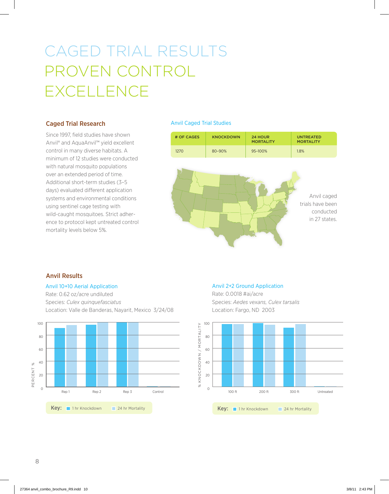## caged trial results proven CONTROL **EXCELLENCE**

#### Caged Trial Research

Since 1997, field studies have shown Anvil® and AquaAnvil™ yield excellent control in many diverse habitats. A minimum of 12 studies were conducted with natural mosquito populations over an extended period of time. Additional short-term studies (3–5 days) evaluated different application systems and environmental conditions using sentinel cage testing with wild-caught mosquitoes. Strict adherence to protocol kept untreated control mortality levels below 5%.

#### Anvil Caged Trial Studies

| # OF CAGES | <b>KNOCKDOWN</b> | 24 HOUR<br><b>MORTALITY</b> | <b>UNTREATED</b><br><b>MORTALITY</b> |
|------------|------------------|-----------------------------|--------------------------------------|
| 1270       | $80 - 90%$       | 95-100%                     | 1.8%                                 |



#### Anvil Results

#### Anvil 10+10 Aerial Application

Rate: 0.62 oz/acre undiluted Species: *Culex quinquefasciatus* Location: Valle de Banderas, Nayarit, Mexico 3/24/08



#### Anvil 2+2 Ground Application

Rate: 0.0018 #ai/acre Species: *Aedes vexans, Culex tarsalis*  Location: Fargo, ND 2003

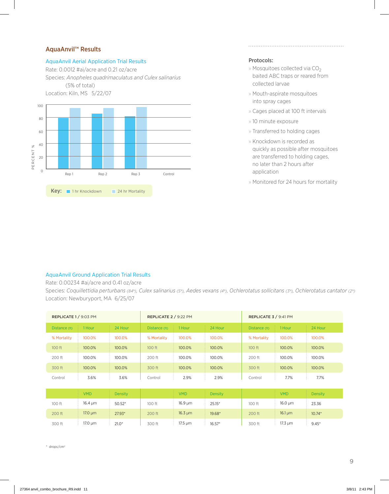#### AquaAnvil™ Results

#### AquaAnvil Aerial Application Trial Results

Rate: 0.0012 #ai/acre and 0.21 oz/acre Species: *Anopheles quadrimaculatus and Culex salinarius*  (5% of total) Location: Kiln, MS 5/22/07



#### Protocols:

» Mosquitoes collected via  $CO<sub>2</sub>$ baited ABC traps or reared from collected larvae

- » Mouth-aspirate mosquitoes into spray cages
- » Cages placed at 100 ft intervals
- » 10 minute exposure
- » Transferred to holding cages
- » Knockdown is recorded as quickly as possible after mosquitoes are transferred to holding cages, no later than 2 hours after application
- » Monitored for 24 hours for mortality

#### AquaAnvil Ground Application Trial Results

Rate: 0.00234 #ai/acre and 0.41 oz/acre

Species: *Coquillettidia perturbans (84%), Culex salinarius (5%), Aedes vexans (4%), Ochlerotatus sollicitans (3%), Ochlerotatus cantator (2%)* Location: Newburyport, MA 6/25/07

|               | REPLICATE 2 / 9:22 PM<br>REPLICATE 1 / 9:03 PM |          | REPLICATE 3 / 9:41 PM |              |          |               |                         |          |
|---------------|------------------------------------------------|----------|-----------------------|--------------|----------|---------------|-------------------------|----------|
| Distance (ft) | 1 Hour                                         | 24 Hour  | Distance (ft)         | 1 Hour       | 24 Hour  | Distance (ft) | 1 Hour                  | 24 Hour  |
| % Mortality   | 100.0%                                         | 100.0%   | % Mortality           | 100.0%       | 100.0%   | % Mortality   | 100.0%                  | 100.0%   |
| 100 ft        | 100.0%                                         | 100.0%   | 100 ft                | 100.0%       | 100.0%   | 100 ft        | 100.0%                  | 100.0%   |
| 200 ft        | 100.0%                                         | 100.0%   | 200 ft                | 100.0%       | 100.0%   | 200 ft        | 100.0%                  | 100.0%   |
| 300 ft        | 100.0%                                         | 100.0%   | 300 ft                | 100.0%       | 100.0%   | 300 ft        | 100.0%                  | 100.0%   |
| Control       | 3.6%                                           | 3.6%     | Control               | 2.9%         | 2.9%     | Control       | 7.7%                    | 7.7%     |
|               |                                                |          |                       |              |          |               |                         |          |
|               | <b>VMD</b>                                     | Density  |                       | <b>VMD</b>   | Density  |               | <b>VMD</b>              | Density  |
| 100 ft        | $16.4 \mu m$                                   | $50.52*$ | 100 ft                | $16.9 \mu m$ | $25.15*$ | 100 ft        | $16.0 \mu m$            | 23.36    |
| 200 ft        | $17.0 \mu m$                                   | $27.93*$ | 200 ft                | $16.3 \mu m$ | 19.68*   | 200 ft        | $16.1 \,\mathrm{\mu m}$ | $10.74*$ |
| 300 ft        | $17.0 \mu m$                                   | $21.0*$  | 300 ft                | $17.5 \mu m$ | $16.57*$ | 300 ft        | $17.3 \mu m$            | $9.45*$  |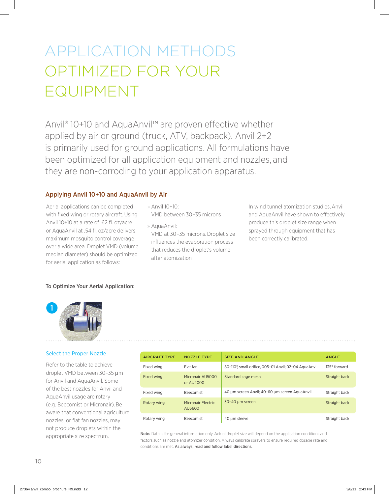# application methods optimized for your **FQUIPMENT**

Anvil® 10+10 and AquaAnvil™ are proven effective whether applied by air or ground (truck, ATV, backpack). Anvil 2+2 is primarily used for ground applications. All formulations have been optimized for all application equipment and nozzles, and they are non-corroding to your application apparatus.

#### Applying Anvil 10+10 and AquaAnvil by Air

Aerial applications can be completed with fixed wing or rotary aircraft. Using Anvil 10+10 at a rate of .62 fl. oz/acre or AquaAnvil at .54 fl. oz/acre delivers maximum mosquito control coverage over a wide area. Droplet VMD (volume median diameter) should be optimized for aerial application as follows:

#### » Anvil 10+10: VMD between 30–35 microns

after atomization

» AquaAnvil: VMD at 30–35 microns. Droplet size influences the evaporation process that reduces the droplet's volume

In wind tunnel atomization studies, Anvil and AquaAnvil have shown to effectively produce this droplet size range when sprayed through equipment that has been correctly calibrated.

#### To Optimize Your Aerial Application:



#### Select the Proper Nozzle

Refer to the table to achieve droplet VMD between 30–35 μm for Anvil and AquaAnvil. Some of the best nozzles for Anvil and AquaAnvil usage are rotary (e.g. Beecomist or Micronair). Be aware that conventional agriculture nozzles, or flat fan nozzles, may not produce droplets within the appropriate size spectrum.

| <b>AIRCRAFT TYPE</b> | <b>NOZZLE TYPE</b>            | <b>SIZE AND ANGLE</b>                                 | <b>ANGLE</b>         |
|----------------------|-------------------------------|-------------------------------------------------------|----------------------|
| Fixed wing           | Flat fan                      | 80-110°, small orifice, 005-01 Anvil; 02-04 AquaAnvil | 135° forward         |
| Fixed wing           | Micronair AU5000<br>or AU4000 | Standard cage mesh                                    | Straight back        |
| Fixed wing           | Beecomist                     | 40 µm screen Anvil; 40-60 µm screen AquaAnvil         | Straight back        |
| Rotary wing          | Micronair Electric<br>AU6600  | 30-40 µm screen                                       | <b>Straight back</b> |
| Rotary wing          | Beecomist                     | 40 µm sleeve                                          | Straight back        |

Note: Data is for general information only. Actual droplet size will depend on the application conditions and factors such as nozzle and atomizer condition. Always calibrate sprayers to ensure required dosage rate and conditions are met. As always, read and follow label directions.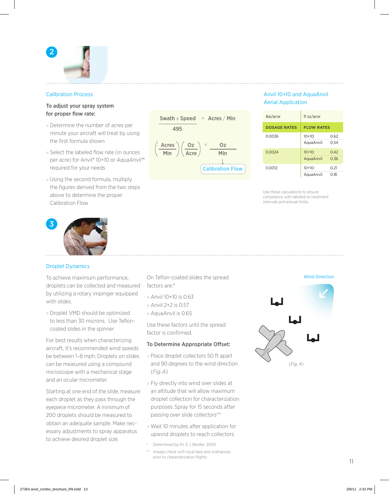

#### Calibration Process

#### To adjust your spray system for proper flow rate:

- » Determine the number of acres per minute your aircraft will treat by using the first formula shown
- » Select the labeled flow rate (in ounces per acre) for Anvil® 10+10 or AquaAnvil™ required for your needs
- » Using the second formula, multiply the figures derived from the two steps above to determine the proper Calibration Flow



#### Droplet Dynamics

To achieve maximum performance, droplets can be collected and measured by utilizing a rotary impinger equipped with slides.

» Droplet VMD should be optimized to less than 30 microns. Use Tefloncoated slides in the spinner

For best results when characterizing aircraft, it's recommended wind speeds be between 1–8 mph. Droplets on slides can be measured using a compound microscope with a mechanical stage and an ocular micrometer.

Starting at one end of the slide, measure each droplet as they pass through the eyepiece micrometer. A minimum of 200 droplets should be measured to obtain an adequate sample. Make necessary adjustments to spray apparatus to achieve desired droplet size.



#### Anvil 10+10 and AquaAnvil Aerial Application

| #ai/acre            | fl oz/acre              |              |
|---------------------|-------------------------|--------------|
| <b>DOSAGE RATES</b> | <b>FLOW RATES</b>       |              |
| 0.0036              | $10+10$ :<br>AquaAnvil: | 0.62<br>0.54 |
| 0.0024              | $10+10$ :<br>AquaAnvil: | 0.42<br>0.36 |
| 0.0012              | $10+10$ :<br>AguaAnvil: | 0.21<br>O 18 |

Use these calculations to ensure compliance with labeled re-treatment intervals and annual limits.

On Teflon-coated slides the spread factors are:\*

- » Anvil 10+10 is 0.63 » Anvil 2+2 is 0.57
- » AquaAnvil is 0.65

Use these factors until the spread factor is confirmed.

#### To Determine Appropriate Offset:

- » Place droplet collectors 50 ft apart and 90 degrees to the wind direction (*Fig. A*)
- » Fly directly into wind over slides at an altitude that will allow maximum droplet collection for characterization purposes. Spray for 15 seconds after passing over slide collectors\*\*
- » Wait 10 minutes after application for upwind droplets to reach collectors
- Determined by Dr. E.J. Beidler, 2009
- \*\* Always check with local laws and ordinances prior to characterization flights.



(*Fig. A*)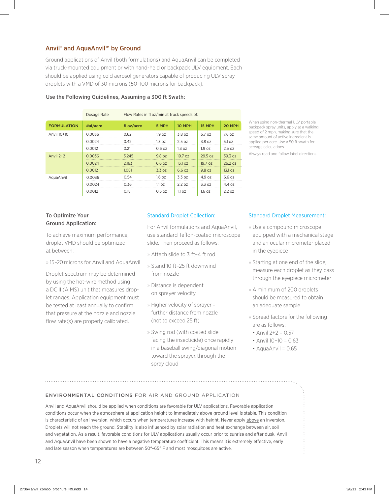#### Anvil® and AquaAnvil™ by Ground

Ground applications of Anvil (both formulations) and AquaAnvil can be completed via truck-mounted equipment or with hand-held or backpack ULV equipment. Each should be applied using cold aerosol generators capable of producing ULV spray droplets with a VMD of 30 microns (50–100 microns for backpack).

|                    | Dosage Rate | Flow Rates in fl oz/min at truck speeds of: |                   |         |                   |         |  |
|--------------------|-------------|---------------------------------------------|-------------------|---------|-------------------|---------|--|
| <b>FORMULATION</b> | #ai/acre    | fl oz/acre                                  | 5 MPH             | 10 MPH  | 15 MPH            | 20 MPH  |  |
| Anvil 10+10        | 0.0036      | 0.62                                        | 1.9 <sub>oz</sub> | 3.8 oz  | 5.7 oz            | 7.6 oz  |  |
|                    | 0.0024      | 0.42                                        | 1.3 oz            | 2.5oz   | 3.8 oz            | 5.1 oz  |  |
|                    | 0.0012      | 0.21                                        | 0.6oz             | 1.3 oz  | 1.9 <sub>oz</sub> | 2.5oz   |  |
| Anvil $2+2$        | 0.0036      | 3.245                                       | 9.8 oz            | 19.7 oz | 29.5 oz           | 39.3 oz |  |
|                    | 0.0024      | 2.163                                       | 6.6 oz            | 13.1 oz | 19.7 oz           | 26.2 oz |  |
|                    | 0.0012      | 1.081                                       | 3.3 oz            | 6.6 oz  | 9.8 oz            | 13.1 oz |  |
| AquaAnvil          | 0.0036      | 0.54                                        | 1.6 oz            | 3.3 oz  | 4.9 oz            | 6.6 oz  |  |
|                    | 0.0024      | 0.36                                        | 1.1 oz            | 2.2 oz  | 3.3 oz            | 4.4 oz  |  |
|                    | 0.0012      | 0.18                                        | 0.5 oz            | 1.1 oz  | 1.6 oz            | 2.2 oz  |  |

#### Use the Following Guidelines, Assuming a 300 ft Swath:

When using non-thermal ULV portable backpack spray units, apply at a walking speed of 2 mph, making sure that the same amount of active ingredient is applied per acre. Use a 50 ft swath for acreage calculations.

Always read and follow label directions.

#### To Optimize Your Ground Application:

To achieve maximum performance, droplet VMD should be optimized at between:

» 15–20 microns for Anvil and AquaAnvil

Droplet spectrum may be determined by using the hot-wire method using a DCIII (AIMS) unit that measures droplet ranges. Application equipment must be tested at least annually to confirm that pressure at the nozzle and nozzle flow rate(s) are properly calibrated.

#### Standard Droplet Collection:

For Anvil formulations and AquaAnvil, use standard Teflon-coated microscope slide. Then proceed as follows:

- » Attach slide to 3 ft–4 ft rod
- » Stand 10 ft–25 ft downwind from nozzle
- » Distance is dependent on sprayer velocity
- » Higher velocity of sprayer = further distance from nozzle (not to exceed 25 ft)
- » Swing rod (with coated slide facing the insecticide) once rapidly in a baseball swing/diagonal motion toward the sprayer, through the spray cloud

#### Standard Droplet Measurement:

- » Use a compound microscope equipped with a mechanical stage and an ocular micrometer placed in the eyepiece
- » Starting at one end of the slide, measure each droplet as they pass through the eyepiece micrometer
- » A minimum of 200 droplets should be measured to obtain an adequate sample
- » Spread factors for the following are as follows:
	- Anvil  $2+2 = 0.57$
- Anvil  $10+10 = 0.63$
- $\bullet$  AquaAnvil = 0.65

#### Environmental Conditions for air and ground application

Anvil and AquaAnvil should be applied when conditions are favorable for ULV applications. Favorable application conditions occur when the atmosphere at application height to immediately above ground level is stable. This condition is characteristic of an inversion, which occurs when temperatures increase with height. Never apply above an inversion. Droplets will not reach the ground. Stability is also influenced by solar radiation and heat exchange between air, soil and vegetation. As a result, favorable conditions for ULV applications usually occur prior to sunrise and after dusk. Anvil and AquaAnvil have been shown to have a negative temperature coefficient. This means it is extremely effective, early and late season when temperatures are between 50°-65° F and most mosquitoes are active.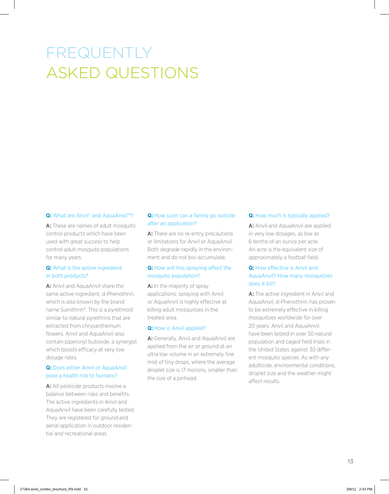### frequently asked questions

#### **Q: What are Anvil® and AquaAnvil™?**

**A:** These are names of adult mosquito control products which have been used with great success to help control adult mosquito populations for many years.

#### **Q:** What is the active ingredient in both products?

**A:** Anvil and AquaAnvil share the same active ingredient, d-Phenothrin, which is also known by the brand name Sumithrin®. This is a pyrethroid similar to natural pyrethrins that are extracted from chrysanthemum flowers. Anvil and AquaAnvil also contain piperonyl butoxide, a synergist which boosts efficacy at very low dosage rates.

#### **Q:** Does either Anvil or AquaAnvil pose a health risk to humans?

A: All pesticide products involve a balance between risks and benefits. The active ingredients in Anvil and AquaAnvil have been carefully tested. They are registered for ground and aerial application in outdoor residential and recreational areas.

#### **Q:** How soon can a family go outside after an application?

A: There are no re-entry precautions or limitations for Anvil or AquaAnvil. Both degrade rapidly in the environment and do not bio-accumulate.

#### **Q:** How will this spraying affect the mosquito population?

A: In the majority of spray applications, spraying with Anvil or AquaAnvil is highly effective at killing adult mosquitoes in the treated area.

#### **Q:** How is Anvil applied?

**A:** Generally, Anvil and AquaAnvil are applied from the air or ground at an ultra low volume in an extremely fine mist of tiny drops, where the average droplet size is 17 microns, smaller than the size of a pinhead.

#### **Q:** How much is typically applied?

**A:** Anvil and AquaAnvil are applied in very low dosages, as low as 6 tenths of an ounce per acre. An acre is the equivalent size of approximately a football field.

#### **Q:** How effective is Anvil and AquaAnvil? How many mosquitoes does it kill?

**A:** The active ingredient in Anvil and AquaAnvil, d-Phenothrin, has proven to be extremely effective in killing mosquitoes worldwide for over 20 years. Anvil and AquaAnvil have been tested in over 50 natural population and caged field trials in the United States against 30 different mosquito species. As with any adulticide, environmental conditions, droplet size and the weather might affect results.